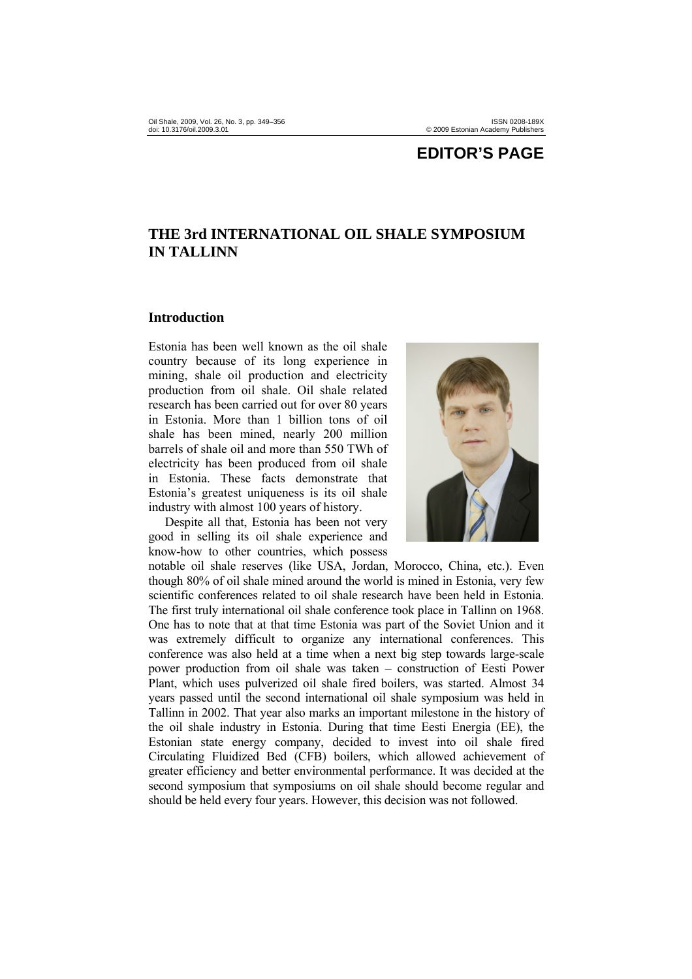# **EDITOR'S PAGE**

## **THE 3rd INTERNATIONAL OIL SHALE SYMPOSIUM IN TALLINN**

## **Introduction**

Estonia has been well known as the oil shale country because of its long experience in mining, shale oil production and electricity production from oil shale. Oil shale related research has been carried out for over 80 years in Estonia. More than 1 billion tons of oil shale has been mined, nearly 200 million barrels of shale oil and more than 550 TWh of electricity has been produced from oil shale in Estonia. These facts demonstrate that Estonia's greatest uniqueness is its oil shale industry with almost 100 years of history.

Despite all that, Estonia has been not very good in selling its oil shale experience and know-how to other countries, which possess



notable oil shale reserves (like USA, Jordan, Morocco, China, etc.). Even though 80% of oil shale mined around the world is mined in Estonia, very few scientific conferences related to oil shale research have been held in Estonia. The first truly international oil shale conference took place in Tallinn on 1968. One has to note that at that time Estonia was part of the Soviet Union and it was extremely difficult to organize any international conferences. This conference was also held at a time when a next big step towards large-scale power production from oil shale was taken – construction of Eesti Power Plant, which uses pulverized oil shale fired boilers, was started. Almost 34 years passed until the second international oil shale symposium was held in Tallinn in 2002. That year also marks an important milestone in the history of the oil shale industry in Estonia. During that time Eesti Energia (EE), the Estonian state energy company, decided to invest into oil shale fired Circulating Fluidized Bed (CFB) boilers, which allowed achievement of greater efficiency and better environmental performance. It was decided at the second symposium that symposiums on oil shale should become regular and should be held every four years. However, this decision was not followed.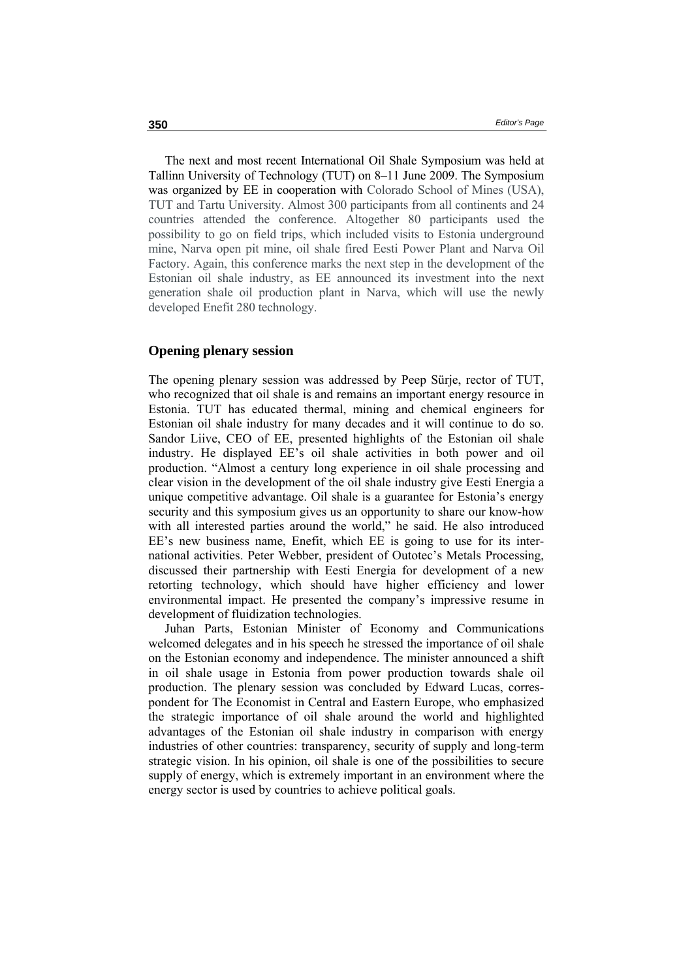The next and most recent International Oil Shale Symposium was held at Tallinn University of Technology (TUT) on 8–11 June 2009. The Symposium was organized by EE in cooperation with Colorado School of Mines (USA), TUT and Tartu University. Almost 300 participants from all continents and 24 countries attended the conference. Altogether 80 participants used the possibility to go on field trips, which included visits to Estonia underground mine, Narva open pit mine, oil shale fired Eesti Power Plant and Narva Oil Factory. Again, this conference marks the next step in the development of the Estonian oil shale industry, as EE announced its investment into the next generation shale oil production plant in Narva, which will use the newly developed Enefit 280 technology.

## **Opening plenary session**

The opening plenary session was addressed by Peep Sürje, rector of TUT, who recognized that oil shale is and remains an important energy resource in Estonia. TUT has educated thermal, mining and chemical engineers for Estonian oil shale industry for many decades and it will continue to do so. Sandor Liive, CEO of EE, presented highlights of the Estonian oil shale industry. He displayed EE's oil shale activities in both power and oil production. "Almost a century long experience in oil shale processing and clear vision in the development of the oil shale industry give Eesti Energia a unique competitive advantage. Oil shale is a guarantee for Estonia's energy security and this symposium gives us an opportunity to share our know-how with all interested parties around the world," he said. He also introduced EE's new business name, Enefit, which EE is going to use for its international activities. Peter Webber, president of Outotec's Metals Processing, discussed their partnership with Eesti Energia for development of a new retorting technology, which should have higher efficiency and lower environmental impact. He presented the company's impressive resume in development of fluidization technologies.

Juhan Parts, Estonian Minister of Economy and Communications welcomed delegates and in his speech he stressed the importance of oil shale on the Estonian economy and independence. The minister announced a shift in oil shale usage in Estonia from power production towards shale oil production. The plenary session was concluded by Edward Lucas, correspondent for The Economist in Central and Eastern Europe, who emphasized the strategic importance of oil shale around the world and highlighted advantages of the Estonian oil shale industry in comparison with energy industries of other countries: transparency, security of supply and long-term strategic vision. In his opinion, oil shale is one of the possibilities to secure supply of energy, which is extremely important in an environment where the energy sector is used by countries to achieve political goals.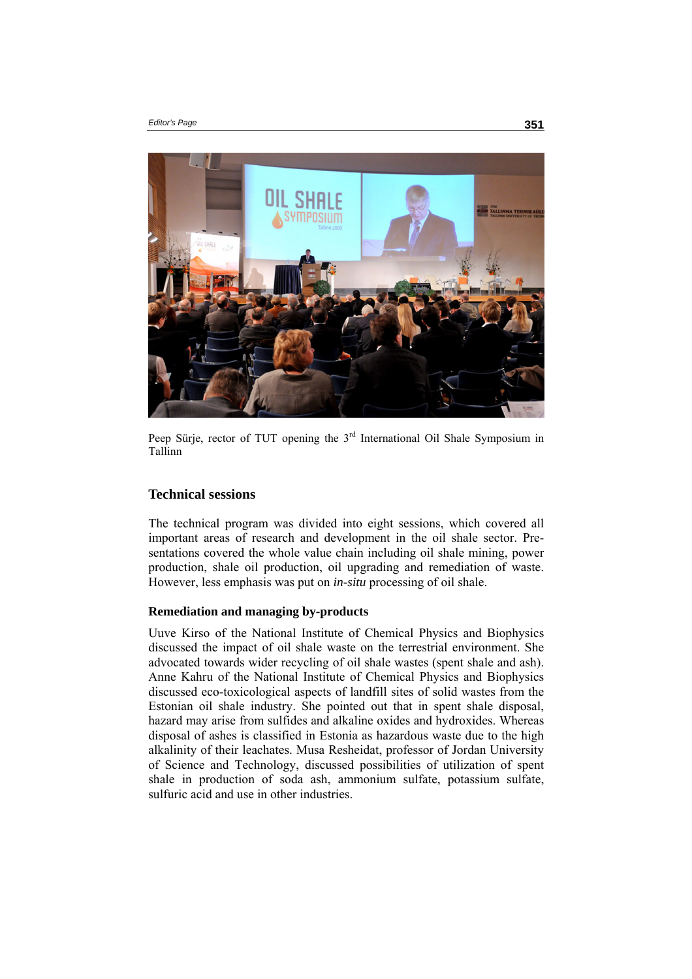

Peep Sürje, rector of TUT opening the 3<sup>rd</sup> International Oil Shale Symposium in Tallinn

## **Technical sessions**

The technical program was divided into eight sessions, which covered all important areas of research and development in the oil shale sector. Presentations covered the whole value chain including oil shale mining, power production, shale oil production, oil upgrading and remediation of waste. However, less emphasis was put on *in-situ* processing of oil shale.

## **Remediation and managing by-products**

Uuve Kirso of the National Institute of Chemical Physics and Biophysics discussed the impact of oil shale waste on the terrestrial environment. She advocated towards wider recycling of oil shale wastes (spent shale and ash). Anne Kahru of the National Institute of Chemical Physics and Biophysics discussed eco-toxicological aspects of landfill sites of solid wastes from the Estonian oil shale industry. She pointed out that in spent shale disposal, hazard may arise from sulfides and alkaline oxides and hydroxides. Whereas disposal of ashes is classified in Estonia as hazardous waste due to the high alkalinity of their leachates. Musa Resheidat, professor of Jordan University of Science and Technology, discussed possibilities of utilization of spent shale in production of soda ash, ammonium sulfate, potassium sulfate, sulfuric acid and use in other industries.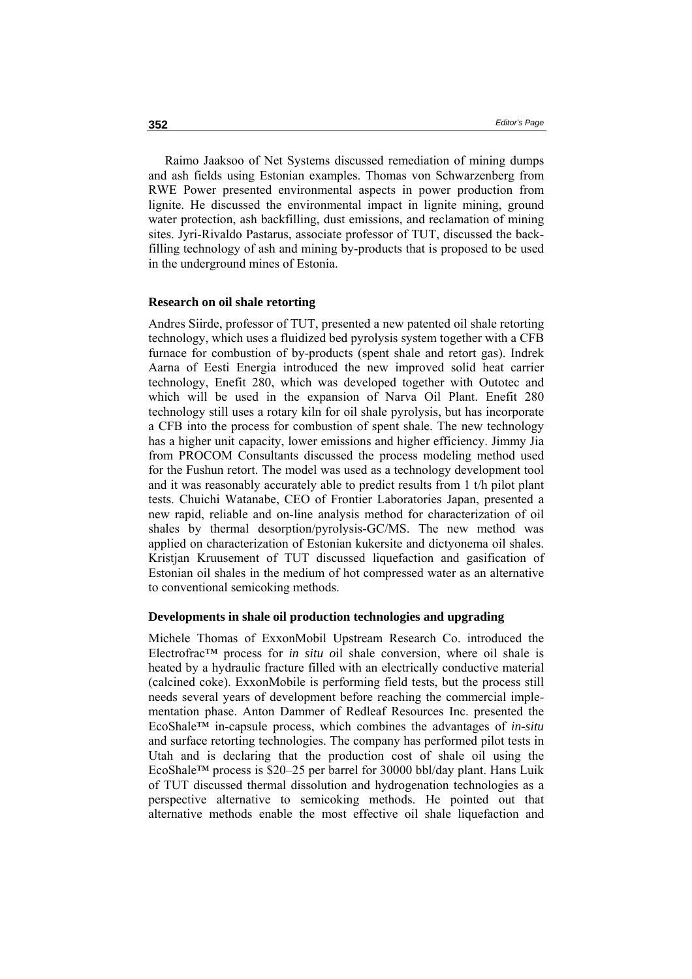Raimo Jaaksoo of Net Systems discussed remediation of mining dumps and ash fields using Estonian examples. Thomas von Schwarzenberg from RWE Power presented environmental aspects in power production from lignite. He discussed the environmental impact in lignite mining, ground water protection, ash backfilling, dust emissions, and reclamation of mining sites. Jyri-Rivaldo Pastarus, associate professor of TUT, discussed the backfilling technology of ash and mining by-products that is proposed to be used in the underground mines of Estonia.

#### **Research on oil shale retorting**

Andres Siirde, professor of TUT, presented a new patented oil shale retorting technology, which uses a fluidized bed pyrolysis system together with a CFB furnace for combustion of by-products (spent shale and retort gas). Indrek Aarna of Eesti Energia introduced the new improved solid heat carrier technology, Enefit 280, which was developed together with Outotec and which will be used in the expansion of Narva Oil Plant. Enefit 280 technology still uses a rotary kiln for oil shale pyrolysis, but has incorporate a CFB into the process for combustion of spent shale. The new technology has a higher unit capacity, lower emissions and higher efficiency. Jimmy Jia from PROCOM Consultants discussed the process modeling method used for the Fushun retort. The model was used as a technology development tool and it was reasonably accurately able to predict results from 1 t/h pilot plant tests. Chuichi Watanabe, CEO of Frontier Laboratories Japan, presented a new rapid, reliable and on-line analysis method for characterization of oil shales by thermal desorption/pyrolysis-GC/MS. The new method was applied on characterization of Estonian kukersite and dictyonema oil shales. Kristjan Kruusement of TUT discussed liquefaction and gasification of Estonian oil shales in the medium of hot compressed water as an alternative to conventional semicoking methods.

#### **Developments in shale oil production technologies and upgrading**

Michele Thomas of ExxonMobil Upstream Research Co. introduced the Electrofrac™ process for *in situ o*il shale conversion, where oil shale is heated by a hydraulic fracture filled with an electrically conductive material (calcined coke). ExxonMobile is performing field tests, but the process still needs several years of development before reaching the commercial implementation phase. Anton Dammer of Redleaf Resources Inc. presented the EcoShale™ in-capsule process, which combines the advantages of *in-situ* and surface retorting technologies. The company has performed pilot tests in Utah and is declaring that the production cost of shale oil using the EcoShale™ process is \$20–25 per barrel for 30000 bbl/day plant. Hans Luik of TUT discussed thermal dissolution and hydrogenation technologies as a perspective alternative to semicoking methods. He pointed out that alternative methods enable the most effective oil shale liquefaction and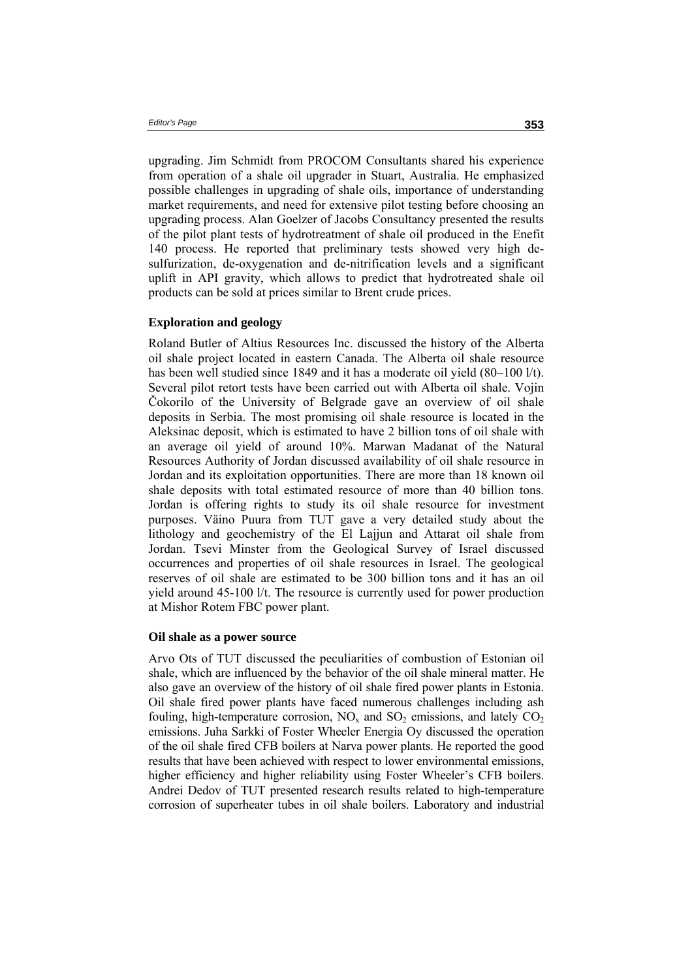upgrading. Jim Schmidt from PROCOM Consultants shared his experience from operation of a shale oil upgrader in Stuart, Australia. He emphasized possible challenges in upgrading of shale oils, importance of understanding market requirements, and need for extensive pilot testing before choosing an upgrading process. Alan Goelzer of Jacobs Consultancy presented the results of the pilot plant tests of hydrotreatment of shale oil produced in the Enefit 140 process. He reported that preliminary tests showed very high desulfurization, de-oxygenation and de-nitrification levels and a significant uplift in API gravity, which allows to predict that hydrotreated shale oil products can be sold at prices similar to Brent crude prices.

#### **Exploration and geology**

Roland Butler of Altius Resources Inc. discussed the history of the Alberta oil shale project located in eastern Canada. The Alberta oil shale resource has been well studied since 1849 and it has a moderate oil yield (80–100 l/t). Several pilot retort tests have been carried out with Alberta oil shale. Vojin Čokorilo of the University of Belgrade gave an overview of oil shale deposits in Serbia. The most promising oil shale resource is located in the Aleksinac deposit, which is estimated to have 2 billion tons of oil shale with an average oil yield of around 10%. Marwan Madanat of the Natural Resources Authority of Jordan discussed availability of oil shale resource in Jordan and its exploitation opportunities. There are more than 18 known oil shale deposits with total estimated resource of more than 40 billion tons. Jordan is offering rights to study its oil shale resource for investment purposes. Väino Puura from TUT gave a very detailed study about the lithology and geochemistry of the El Lajjun and Attarat oil shale from Jordan. Tsevi Minster from the Geological Survey of Israel discussed occurrences and properties of oil shale resources in Israel. The geological reserves of oil shale are estimated to be 300 billion tons and it has an oil yield around 45-100 l/t. The resource is currently used for power production at Mishor Rotem FBC power plant.

#### **Oil shale as a power source**

Arvo Ots of TUT discussed the peculiarities of combustion of Estonian oil shale, which are influenced by the behavior of the oil shale mineral matter. He also gave an overview of the history of oil shale fired power plants in Estonia. Oil shale fired power plants have faced numerous challenges including ash fouling, high-temperature corrosion,  $NO<sub>x</sub>$  and  $SO<sub>2</sub>$  emissions, and lately  $CO<sub>2</sub>$ emissions. Juha Sarkki of Foster Wheeler Energia Oy discussed the operation of the oil shale fired CFB boilers at Narva power plants. He reported the good results that have been achieved with respect to lower environmental emissions, higher efficiency and higher reliability using Foster Wheeler's CFB boilers. Andrei Dedov of TUT presented research results related to high-temperature corrosion of superheater tubes in oil shale boilers. Laboratory and industrial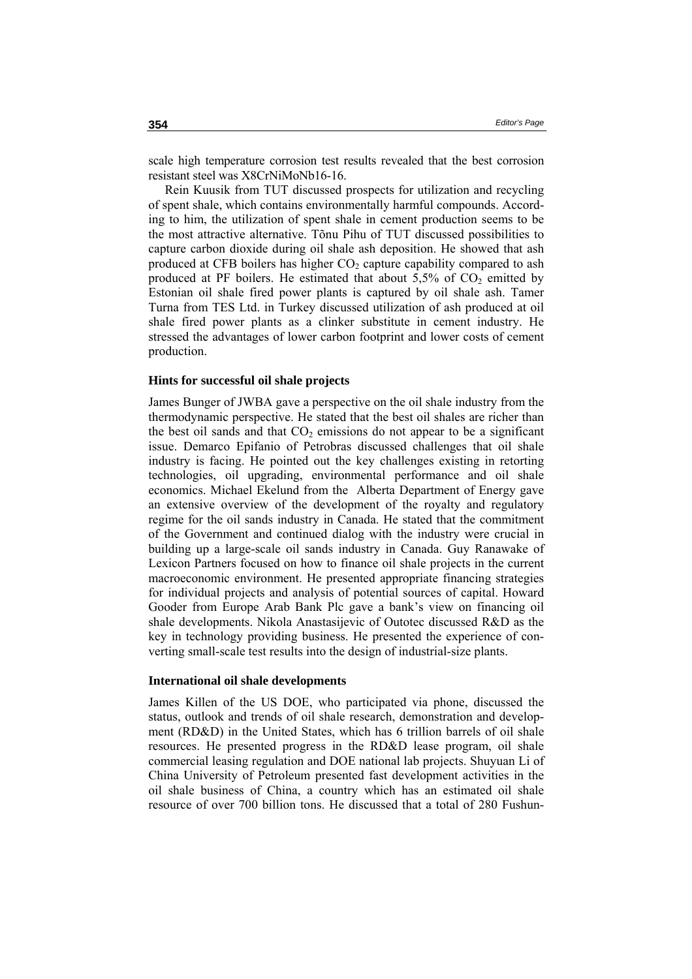scale high temperature corrosion test results revealed that the best corrosion resistant steel was X8CrNiMoNb16-16.

Rein Kuusik from TUT discussed prospects for utilization and recycling of spent shale, which contains environmentally harmful compounds. According to him, the utilization of spent shale in cement production seems to be the most attractive alternative. Tõnu Pihu of TUT discussed possibilities to capture carbon dioxide during oil shale ash deposition. He showed that ash produced at CFB boilers has higher  $CO<sub>2</sub>$  capture capability compared to ash produced at PF boilers. He estimated that about  $5.5\%$  of  $CO<sub>2</sub>$  emitted by Estonian oil shale fired power plants is captured by oil shale ash. Tamer Turna from TES Ltd. in Turkey discussed utilization of ash produced at oil shale fired power plants as a clinker substitute in cement industry. He stressed the advantages of lower carbon footprint and lower costs of cement production.

#### **Hints for successful oil shale projects**

James Bunger of JWBA gave a perspective on the oil shale industry from the thermodynamic perspective. He stated that the best oil shales are richer than the best oil sands and that  $CO<sub>2</sub>$  emissions do not appear to be a significant issue. Demarco Epifanio of Petrobras discussed challenges that oil shale industry is facing. He pointed out the key challenges existing in retorting technologies, oil upgrading, environmental performance and oil shale economics. Michael Ekelund from the Alberta Department of Energy gave an extensive overview of the development of the royalty and regulatory regime for the oil sands industry in Canada. He stated that the commitment of the Government and continued dialog with the industry were crucial in building up a large-scale oil sands industry in Canada. Guy Ranawake of Lexicon Partners focused on how to finance oil shale projects in the current macroeconomic environment. He presented appropriate financing strategies for individual projects and analysis of potential sources of capital. Howard Gooder from Europe Arab Bank Plc gave a bank's view on financing oil shale developments. Nikola Anastasijevic of Outotec discussed R&D as the key in technology providing business. He presented the experience of converting small-scale test results into the design of industrial-size plants.

#### **International oil shale developments**

James Killen of the US DOE, who participated via phone, discussed the status, outlook and trends of oil shale research, demonstration and development (RD&D) in the United States, which has 6 trillion barrels of oil shale resources. He presented progress in the RD&D lease program, oil shale commercial leasing regulation and DOE national lab projects. Shuyuan Li of China University of Petroleum presented fast development activities in the oil shale business of China, a country which has an estimated oil shale resource of over 700 billion tons. He discussed that a total of 280 Fushun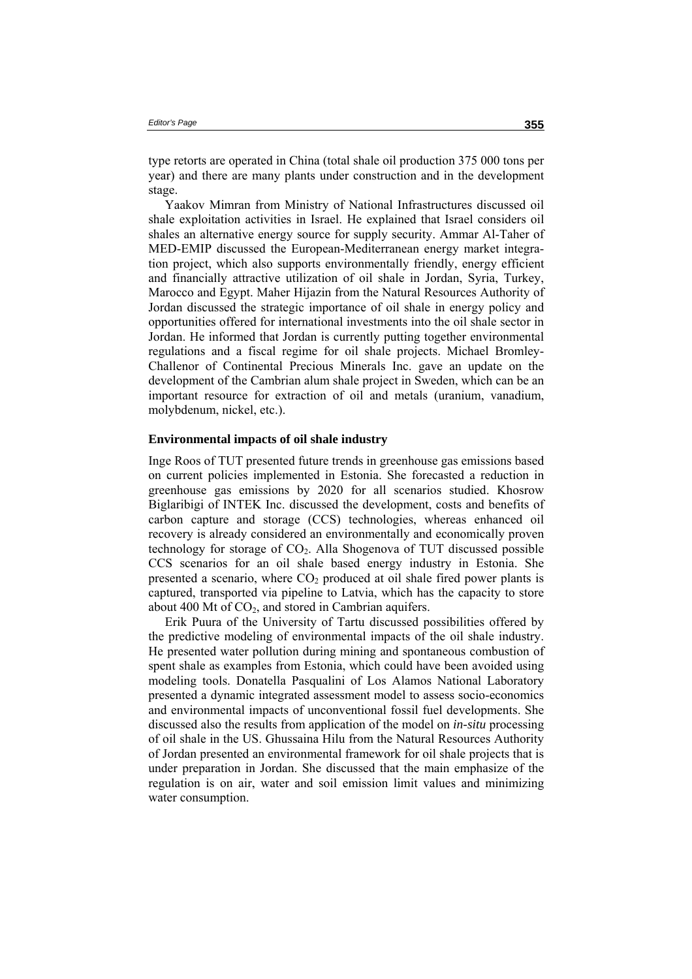type retorts are operated in China (total shale oil production 375 000 tons per year) and there are many plants under construction and in the development stage.

Yaakov Mimran from Ministry of National Infrastructures discussed oil shale exploitation activities in Israel. He explained that Israel considers oil shales an alternative energy source for supply security. Ammar Al-Taher of MED-EMIP discussed the European-Mediterranean energy market integration project, which also supports environmentally friendly, energy efficient and financially attractive utilization of oil shale in Jordan, Syria, Turkey, Marocco and Egypt. Maher Hijazin from the Natural Resources Authority of Jordan discussed the strategic importance of oil shale in energy policy and opportunities offered for international investments into the oil shale sector in Jordan. He informed that Jordan is currently putting together environmental regulations and a fiscal regime for oil shale projects. Michael Bromley-Challenor of Continental Precious Minerals Inc. gave an update on the development of the Cambrian alum shale project in Sweden, which can be an important resource for extraction of oil and metals (uranium, vanadium, molybdenum, nickel, etc.).

## **Environmental impacts of oil shale industry**

Inge Roos of TUT presented future trends in greenhouse gas emissions based on current policies implemented in Estonia. She forecasted a reduction in greenhouse gas emissions by 2020 for all scenarios studied. Khosrow Biglaribigi of INTEK Inc. discussed the development, costs and benefits of carbon capture and storage (CCS) technologies, whereas enhanced oil recovery is already considered an environmentally and economically proven technology for storage of  $CO<sub>2</sub>$ . Alla Shogenova of TUT discussed possible CCS scenarios for an oil shale based energy industry in Estonia. She presented a scenario, where  $CO<sub>2</sub>$  produced at oil shale fired power plants is captured, transported via pipeline to Latvia, which has the capacity to store about 400 Mt of  $CO<sub>2</sub>$ , and stored in Cambrian aquifers.

Erik Puura of the University of Tartu discussed possibilities offered by the predictive modeling of environmental impacts of the oil shale industry. He presented water pollution during mining and spontaneous combustion of spent shale as examples from Estonia, which could have been avoided using modeling tools. Donatella Pasqualini of Los Alamos National Laboratory presented a dynamic integrated assessment model to assess socio-economics and environmental impacts of unconventional fossil fuel developments. She discussed also the results from application of the model on *in-situ* processing of oil shale in the US. Ghussaina Hilu from the Natural Resources Authority of Jordan presented an environmental framework for oil shale projects that is under preparation in Jordan. She discussed that the main emphasize of the regulation is on air, water and soil emission limit values and minimizing water consumption.